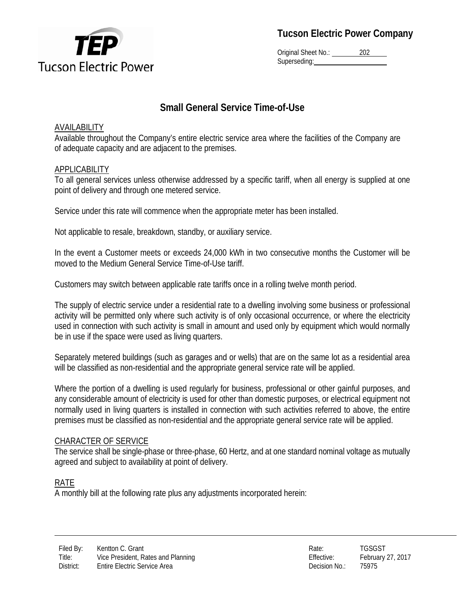

**Tucson Electric Power Company**

Original Sheet No.: 202 Superseding:

# **Small General Service Time-of-Use**

## AVAILABILITY

Available throughout the Company's entire electric service area where the facilities of the Company are of adequate capacity and are adjacent to the premises.

## APPLICABILITY

To all general services unless otherwise addressed by a specific tariff, when all energy is supplied at one point of delivery and through one metered service.

Service under this rate will commence when the appropriate meter has been installed.

Not applicable to resale, breakdown, standby, or auxiliary service.

In the event a Customer meets or exceeds 24,000 kWh in two consecutive months the Customer will be moved to the Medium General Service Time-of-Use tariff.

Customers may switch between applicable rate tariffs once in a rolling twelve month period.

The supply of electric service under a residential rate to a dwelling involving some business or professional activity will be permitted only where such activity is of only occasional occurrence, or where the electricity used in connection with such activity is small in amount and used only by equipment which would normally be in use if the space were used as living quarters.

Separately metered buildings (such as garages and or wells) that are on the same lot as a residential area will be classified as non-residential and the appropriate general service rate will be applied.

Where the portion of a dwelling is used regularly for business, professional or other gainful purposes, and any considerable amount of electricity is used for other than domestic purposes, or electrical equipment not normally used in living quarters is installed in connection with such activities referred to above, the entire premises must be classified as non-residential and the appropriate general service rate will be applied.

## CHARACTER OF SERVICE

The service shall be single-phase or three-phase, 60 Hertz, and at one standard nominal voltage as mutually agreed and subject to availability at point of delivery.

## RATE

A monthly bill at the following rate plus any adjustments incorporated herein: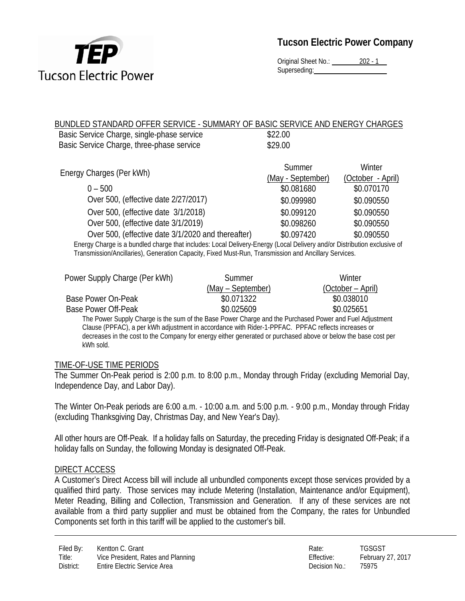

Original Sheet No.: 202 - 1 Superseding:

#### BUNDLED STANDARD OFFER SERVICE - SUMMARY OF BASIC SERVICE AND ENERGY CHARGES Basic Service Charge, single-phase service  $$22.00$ Basic Service Charge, three-phase service  $$29.00$

| Summer     | Winter<br>(October - April) |
|------------|-----------------------------|
| \$0.081680 | \$0.070170                  |
| \$0.099980 | \$0.090550                  |
| \$0.099120 | \$0.090550                  |
| \$0.098260 | \$0.090550                  |
| \$0.097420 | \$0.090550                  |
|            | (May - September)           |

Energy Charge is a bundled charge that includes: Local Delivery-Energy (Local Delivery and/or Distribution exclusive of Transmission/Ancillaries), Generation Capacity, Fixed Must-Run, Transmission and Ancillary Services.

| Power Supply Charge (Per kWh)                                                                           | Summer            | Winter            |  |  |
|---------------------------------------------------------------------------------------------------------|-------------------|-------------------|--|--|
|                                                                                                         | (May – September) | (October – April) |  |  |
| Base Power On-Peak                                                                                      | \$0.071322        | \$0.038010        |  |  |
| Base Power Off-Peak                                                                                     | \$0.025609        | \$0.025651        |  |  |
| The Power Supply Charge is the sum of the Base Power Charge and the Purchased Power and Fuel Adjustment |                   |                   |  |  |
| Clause (PPFAC), a per kWh adjustment in accordance with Rider-1-PPFAC. PPFAC reflects increases or      |                   |                   |  |  |

decreases in the cost to the Company for energy either generated or purchased above or below the base cost per kWh sold.

### TIME-OF-USE TIME PERIODS

The Summer On-Peak period is 2:00 p.m. to 8:00 p.m., Monday through Friday (excluding Memorial Day, Independence Day, and Labor Day).

The Winter On-Peak periods are 6:00 a.m. - 10:00 a.m. and 5:00 p.m. - 9:00 p.m., Monday through Friday (excluding Thanksgiving Day, Christmas Day, and New Year's Day).

All other hours are Off-Peak. If a holiday falls on Saturday, the preceding Friday is designated Off-Peak; if a holiday falls on Sunday, the following Monday is designated Off-Peak.

### DIRECT ACCESS

A Customer's Direct Access bill will include all unbundled components except those services provided by a qualified third party. Those services may include Metering (Installation, Maintenance and/or Equipment), Meter Reading, Billing and Collection, Transmission and Generation. If any of these services are not available from a third party supplier and must be obtained from the Company, the rates for Unbundled Components set forth in this tariff will be applied to the customer's bill.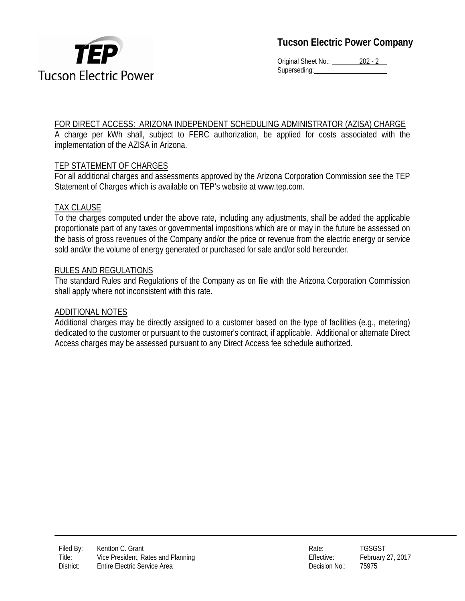

**Tucson Electric Power Company**

Original Sheet No.: 202 - 2 Superseding:

## FOR DIRECT ACCESS: ARIZONA INDEPENDENT SCHEDULING ADMINISTRATOR (AZISA) CHARGE

A charge per kWh shall, subject to FERC authorization, be applied for costs associated with the implementation of the AZISA in Arizona.

## TEP STATEMENT OF CHARGES

For all additional charges and assessments approved by the Arizona Corporation Commission see the TEP Statement of Charges which is available on TEP's website at www.tep.com.

### TAX CLAUSE

To the charges computed under the above rate, including any adjustments, shall be added the applicable proportionate part of any taxes or governmental impositions which are or may in the future be assessed on the basis of gross revenues of the Company and/or the price or revenue from the electric energy or service sold and/or the volume of energy generated or purchased for sale and/or sold hereunder.

### RULES AND REGULATIONS

The standard Rules and Regulations of the Company as on file with the Arizona Corporation Commission shall apply where not inconsistent with this rate.

### ADDITIONAL NOTES

Additional charges may be directly assigned to a customer based on the type of facilities (e.g., metering) dedicated to the customer or pursuant to the customer's contract, if applicable. Additional or alternate Direct Access charges may be assessed pursuant to any Direct Access fee schedule authorized.